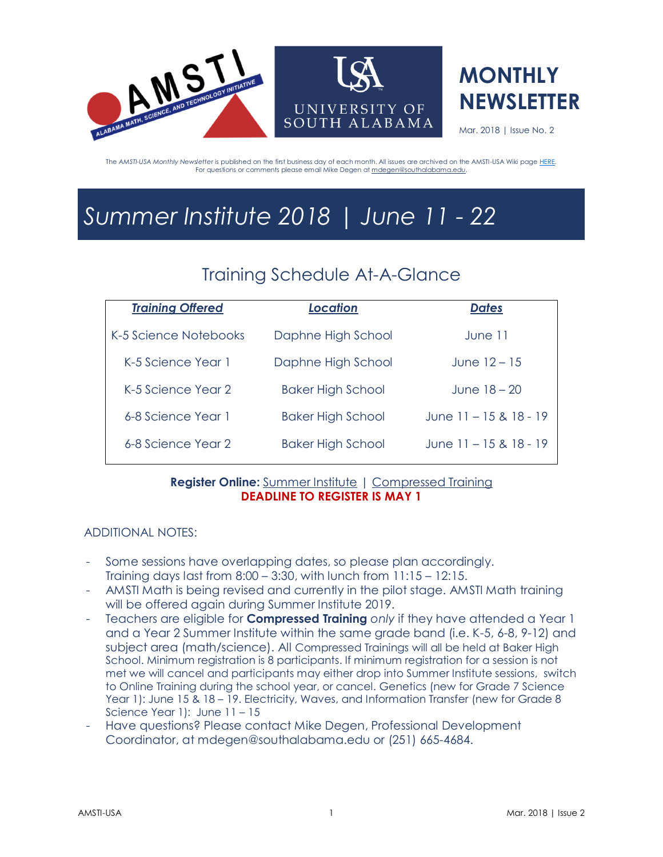



Mar. 2018 | Issue No. 2

The *AMSTI-USA Monthly Newsletter* is published on the first business day of each month. All issues are archived on the AMSTI-USA Wiki pag[e HERE.](http://amsti-usa.wikispaces.com/Newsletter+Archive)  For questions or comments please email Mike Degen a[t mdegen@southalabama.edu.](mailto:mdegen@southalabama.edu)

# *Summer Institute 2018 | June 11 - 22*

## Training Schedule At-A-Glance

| <b>Dates</b>               |
|----------------------------|
| June 11                    |
| June $12 - 15$             |
| June $18 - 20$             |
| June 11 – 15 & 18 - 19     |
| June $11 - 15$ & $18 - 19$ |
|                            |

### **Register Online:** [Summer Institute](https://docs.google.com/forms/d/1ef4gmSMyh2q7VIBP2KA7WZGrdNTz-D4h2yxNMkWA6Dw/edit) | [Compressed Training](https://docs.google.com/forms/d/1JAv6sm_gSn8VghopsHpr_Su7FyHGNV3sNKG0WYaV3fA/edit) **DEADLINE TO REGISTER IS MAY 1**

### ADDITIONAL NOTES:

- Some sessions have overlapping dates, so please plan accordingly. Training days last from 8:00 – 3:30, with lunch from 11:15 – 12:15.
- AMSTI Math is being revised and currently in the pilot stage. AMSTI Math training will be offered again during Summer Institute 2019.
- Teachers are eligible for **Compressed Training** *only* if they have attended a Year 1 and a Year 2 Summer Institute within the same grade band (i.e. K-5, 6-8, 9-12) and subject area (math/science). All Compressed Trainings will all be held at Baker High School. Minimum registration is 8 participants. If minimum registration for a session is not met we will cancel and participants may either drop into Summer Institute sessions, switch to Online Training during the school year, or cancel. Genetics (new for Grade 7 Science Year 1): June 15 & 18 – 19. Electricity, Waves, and Information Transfer (new for Grade 8 Science Year 1): June 11 – 15
- Have questions? Please contact Mike Degen, Professional Development Coordinator, at mdegen@southalabama.edu or (251) 665-4684.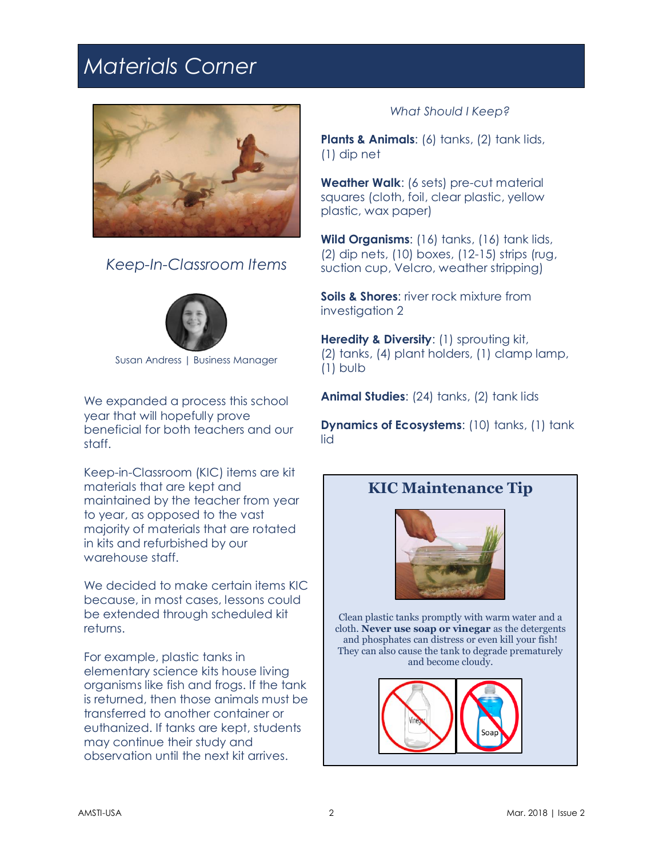## *Materials Corner*



*Keep-In-Classroom Items*



Susan Andress | Business Manager

We expanded a process this school year that will hopefully prove beneficial for both teachers and our staff.

Keep-in-Classroom (KIC) items are kit materials that are kept and maintained by the teacher from year to year, as opposed to the vast majority of materials that are rotated in kits and refurbished by our warehouse staff.

We decided to make certain items KIC because, in most cases, lessons could be extended through scheduled kit returns.

For example, plastic tanks in elementary science kits house living organisms like fish and frogs. If the tank is returned, then those animals must be transferred to another container or euthanized. If tanks are kept, students may continue their study and observation until the next kit arrives.

### *What Should I Keep?*

**Plants & Animals:** (6) tanks, (2) tank lids, (1) dip net

**Weather Walk**: (6 sets) pre-cut material squares (cloth, foil, clear plastic, yellow plastic, wax paper)

**Wild Organisms**: (16) tanks, (16) tank lids, (2) dip nets, (10) boxes, (12-15) strips (rug, suction cup, Velcro, weather stripping)

**Soils & Shores**: river rock mixture from investigation 2

**Heredity & Diversity: (1) sprouting kit,** (2) tanks, (4) plant holders, (1) clamp lamp, (1) bulb

**Animal Studies:** (24) tanks, (2) tank lids

**Dynamics of Ecosystems:** (10) tanks, (1) tank lid

### **KIC Maintenance Tip**



Clean plastic tanks promptly with warm water and a cloth. **Never use soap or vinegar** as the detergents and phosphates can distress or even kill your fish! They can also cause the tank to degrade prematurely and become cloudy.

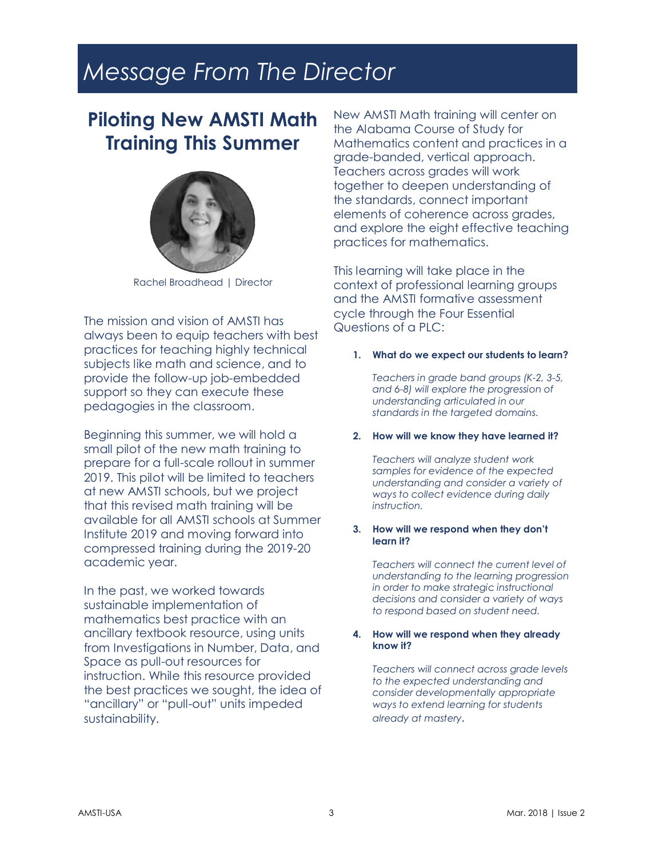# *Message From The Director*

## **Piloting New AMSTI Math Training This Summer**



Rachel Broadhead | Director

The mission and vision of AMSTI has always been to equip teachers with best practices for teaching highly technical subjects like math and science, and to provide the follow-up job-embedded support so they can execute these pedagogies in the classroom.

Beginning this summer, we will hold a small pilot of the new math training to prepare for a full-scale rollout in summer 2019. This pilot will be limited to teachers at new AMSTI schools, but we project that this revised math training will be available for all AMSTI schools at Summer Institute 2019 and moving forward into compressed training during the 2019-20 academic year.

In the past, we worked towards sustainable implementation of mathematics best practice with an ancillary textbook resource, using units from Investigations in Number, Data, and Space as pull-out resources for instruction. While this resource provided the best practices we sought, the idea of "ancillary" or "pull-out" units impeded sustainability.

New AMSTI Math training will center on the Alabama Course of Study for Mathematics content and practices in a grade-banded, vertical approach. Teachers across grades will work together to deepen understanding of the standards, connect important elements of coherence across grades, and explore the eight effective teaching practices for mathematics.

This learning will take place in the context of professional learning groups and the AMSTI formative assessment cycle through the Four Essential Questions of a PLC:

#### **1. What do we expect our students to learn?**

*Teachers in grade band groups (K-2, 3-5, and 6-8) will explore the progression of understanding articulated in our standards in the targeted domains.*

#### **2. How will we know they have learned it?**

*Teachers will analyze student work samples for evidence of the expected understanding and consider a variety of ways to collect evidence during daily instruction.*

#### **3. How will we respond when they don't learn it?**

*Teachers will connect the current level of understanding to the learning progression in order to make strategic instructional decisions and consider a variety of ways to respond based on student need.*

#### **4. How will we respond when they already know it?**

*Teachers will connect across grade levels to the expected understanding and consider developmentally appropriate ways to extend learning for students already at mastery.*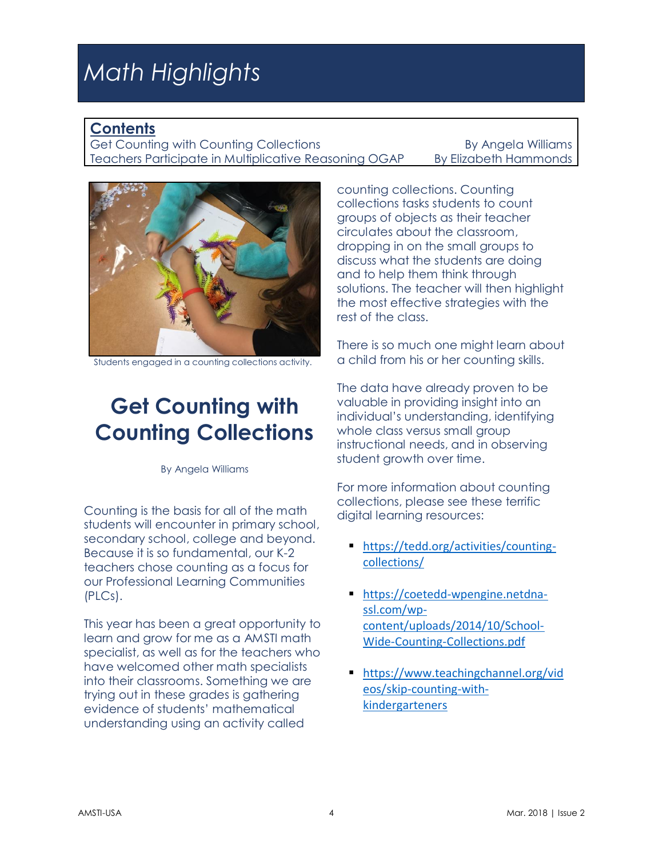# *Math Highlights*

### **Contents**

Get Counting with Counting Collections **By Angela Williams** Teachers Participate in Multiplicative Reasoning OGAP By Elizabeth Hammonds



Students engaged in a counting collections activity.

## **Get Counting with Counting Collections**

By Angela Williams

Counting is the basis for all of the math students will encounter in primary school, secondary school, college and beyond. Because it is so fundamental, our K-2 teachers chose counting as a focus for our Professional Learning Communities (PLCs).

This year has been a great opportunity to learn and grow for me as a AMSTI math specialist, as well as for the teachers who have welcomed other math specialists into their classrooms. Something we are trying out in these grades is gathering evidence of students' mathematical understanding using an activity called

counting collections. Counting collections tasks students to count groups of objects as their teacher circulates about the classroom, dropping in on the small groups to discuss what the students are doing and to help them think through solutions. The teacher will then highlight the most effective strategies with the rest of the class.

There is so much one might learn about a child from his or her counting skills.

The data have already proven to be valuable in providing insight into an individual's understanding, identifying whole class versus small group instructional needs, and in observing student growth over time.

For more information about counting collections, please see these terrific digital learning resources:

- **Intities://tedd.org/activities/counting**[collections/](https://tedd.org/activities/counting-collections/)
- [https://coetedd-wpengine.netdna](https://coetedd-wpengine.netdna-ssl.com/wp-content/uploads/2014/10/School-Wide-Counting-Collections.pdf)[ssl.com/wp](https://coetedd-wpengine.netdna-ssl.com/wp-content/uploads/2014/10/School-Wide-Counting-Collections.pdf)[content/uploads/2014/10/School-](https://coetedd-wpengine.netdna-ssl.com/wp-content/uploads/2014/10/School-Wide-Counting-Collections.pdf)[Wide-Counting-Collections.pdf](https://coetedd-wpengine.netdna-ssl.com/wp-content/uploads/2014/10/School-Wide-Counting-Collections.pdf)
- [https://www.teachingchannel.org/vid](https://www.teachingchannel.org/videos/skip-counting-with-kindergarteners) [eos/skip-counting-with](https://www.teachingchannel.org/videos/skip-counting-with-kindergarteners)[kindergarteners](https://www.teachingchannel.org/videos/skip-counting-with-kindergarteners)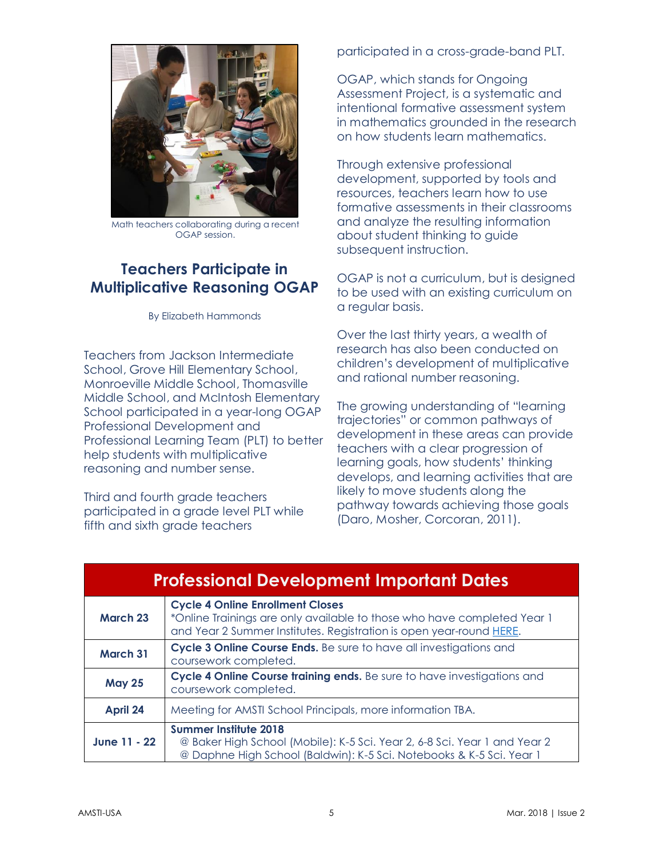

Math teachers collaborating during a recent OGAP session.

## **Teachers Participate in Multiplicative Reasoning OGAP**

By Elizabeth Hammonds

Teachers from Jackson Intermediate School, Grove Hill Elementary School, Monroeville Middle School, Thomasville Middle School, and McIntosh Elementary School participated in a year-long OGAP Professional Development and Professional Learning Team (PLT) to better help students with multiplicative reasoning and number sense.

Third and fourth grade teachers participated in a grade level PLT while fifth and sixth arade teachers

participated in a cross-grade-band PLT.

OGAP, which stands for Ongoing Assessment Project, is a systematic and intentional formative assessment system in mathematics grounded in the research on how students learn mathematics.

Through extensive professional development, supported by tools and resources, teachers learn how to use formative assessments in their classrooms and analyze the resulting information about student thinking to guide subsequent instruction.

OGAP is not a curriculum, but is designed to be used with an existing curriculum on a regular basis.

Over the last thirty years, a wealth of research has also been conducted on children's development of multiplicative and rational number reasoning.

The growing understanding of "learning trajectories" or common pathways of development in these areas can provide teachers with a clear progression of learning goals, how students' thinking develops, and learning activities that are likely to move students along the pathway towards achieving those goals (Daro, Mosher, Corcoran, 2011).

| <b>Professional Development Important Dates</b> |                                                                                                                                                                                           |  |
|-------------------------------------------------|-------------------------------------------------------------------------------------------------------------------------------------------------------------------------------------------|--|
| <b>March 23</b>                                 | <b>Cycle 4 Online Enrollment Closes</b><br>*Online Trainings are only available to those who have completed Year 1<br>and Year 2 Summer Institutes. Registration is open year-round HERE. |  |
| <b>March 31</b>                                 | Cycle 3 Online Course Ends. Be sure to have all investigations and<br>coursework completed.                                                                                               |  |
| <b>May 25</b>                                   | Cycle 4 Online Course training ends. Be sure to have investigations and<br>coursework completed.                                                                                          |  |
| April 24                                        | Meeting for AMSTI School Principals, more information TBA.                                                                                                                                |  |
| June 11 - 22                                    | <b>Summer Institute 2018</b><br>@ Baker High School (Mobile): K-5 Sci. Year 2, 6-8 Sci. Year 1 and Year 2<br>@ Daphne High School (Baldwin): K-5 Sci. Notebooks & K-5 Sci. Year 1         |  |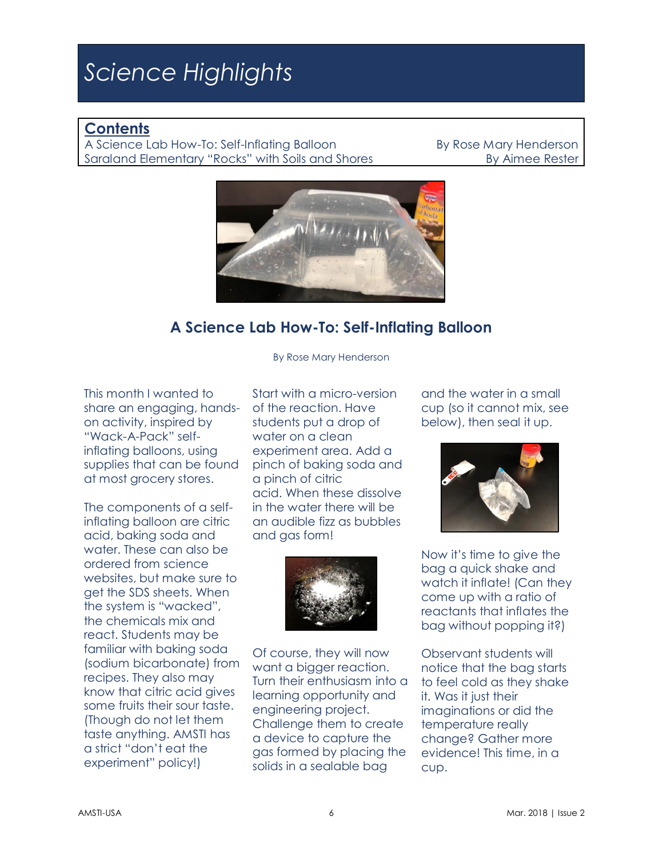# *Science Highlights*

### **Contents**

A Science Lab How-To: Self-Inflating Balloon By Rose Mary Henderson Saraland Elementary "Rocks" with Soils and Shores By Aimee Rester



## **A Science Lab How-To: Self-Inflating Balloon**

By Rose Mary Henderson

This month I wanted to share an engaging, handson activity, inspired by "Wack-A-Pack" selfinflating balloons, using supplies that can be found at most grocery stores.

The components of a selfinflating balloon are citric acid, baking soda and water. These can also be ordered from science websites, but make sure to get the SDS sheets. When the system is "wacked", the chemicals mix and react. Students may be familiar with baking soda (sodium bicarbonate) from recipes. They also may know that citric acid gives some fruits their sour taste. (Though do not let them taste anything. AMSTI has a strict "don't eat the experiment" policy!)

Start with a micro-version of the reaction. Have students put a drop of water on a clean experiment area. Add a pinch of baking soda and a pinch of citric acid. When these dissolve in the water there will be an audible fizz as bubbles and gas form!



Of course, they will now want a bigger reaction. Turn their enthusiasm into a learning opportunity and engineering project. Challenge them to create a device to capture the gas formed by placing the solids in a sealable bag

and the water in a small cup (so it cannot mix, see below), then seal it up.



Now it's time to give the bag a quick shake and watch it inflate! (Can they come up with a ratio of reactants that inflates the bag without popping it?)

Observant students will notice that the bag starts to feel cold as they shake it. Was it just their imaginations or did the temperature really change? Gather more evidence! This time, in a cup.